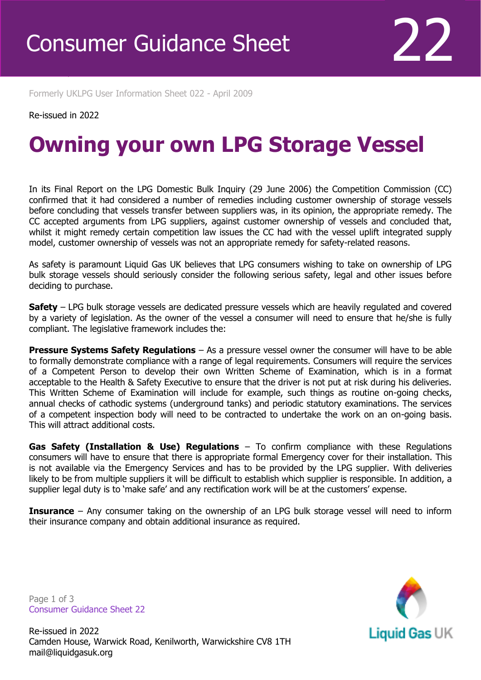Formerly UKLPG User Information Sheet 022 - April 2009

## Re-issued in 2022

Revised April 2016

## **Owning your own LPG Storage Vessel**

In its Final Report on the LPG Domestic Bulk Inquiry (29 June 2006) the Competition Commission (CC) confirmed that it had considered a number of remedies including customer ownership of storage vessels before concluding that vessels transfer between suppliers was, in its opinion, the appropriate remedy. The CC accepted arguments from LPG suppliers, against customer ownership of vessels and concluded that, whilst it might remedy certain competition law issues the CC had with the vessel uplift integrated supply model, customer ownership of vessels was not an appropriate remedy for safety-related reasons.

As safety is paramount Liquid Gas UK believes that LPG consumers wishing to take on ownership of LPG bulk storage vessels should seriously consider the following serious safety, legal and other issues before deciding to purchase.

**Safety** – LPG bulk storage vessels are dedicated pressure vessels which are heavily regulated and covered by a variety of legislation. As the owner of the vessel a consumer will need to ensure that he/she is fully compliant. The legislative framework includes the:

**Pressure Systems Safety Regulations** – As a pressure vessel owner the consumer will have to be able to formally demonstrate compliance with a range of legal requirements. Consumers will require the services of a Competent Person to develop their own Written Scheme of Examination, which is in a format acceptable to the Health & Safety Executive to ensure that the driver is not put at risk during his deliveries. This Written Scheme of Examination will include for example, such things as routine on-going checks, annual checks of cathodic systems (underground tanks) and periodic statutory examinations. The services of a competent inspection body will need to be contracted to undertake the work on an on-going basis. This will attract additional costs.

**Gas Safety (Installation & Use) Regulations** – To confirm compliance with these Regulations consumers will have to ensure that there is appropriate formal Emergency cover for their installation. This is not available via the Emergency Services and has to be provided by the LPG supplier. With deliveries likely to be from multiple suppliers it will be difficult to establish which supplier is responsible. In addition, a supplier legal duty is to 'make safe' and any rectification work will be at the customers' expense.

**Insurance** – Any consumer taking on the ownership of an LPG bulk storage vessel will need to inform their insurance company and obtain additional insurance as required.

**Liquid Gas UK** 

Page 1 of 3 Consumer Guidance Sheet 22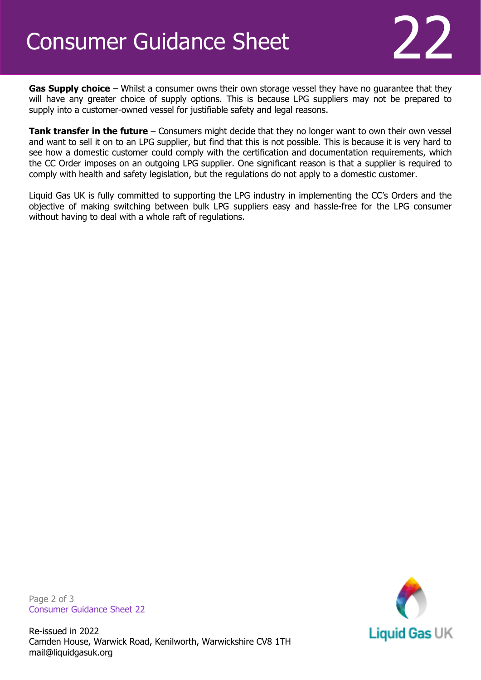## Consumer Guidance Sheet

**Gas Supply choice** – Whilst a consumer owns their own storage vessel they have no guarantee that they will have any greater choice of supply options. This is because LPG suppliers may not be prepared to supply into a customer-owned vessel for justifiable safety and legal reasons.

**Tank transfer in the future** – Consumers might decide that they no longer want to own their own vessel and want to sell it on to an LPG supplier, but find that this is not possible. This is because it is very hard to see how a domestic customer could comply with the certification and documentation requirements, which the CC Order imposes on an outgoing LPG supplier. One significant reason is that a supplier is required to comply with health and safety legislation, but the regulations do not apply to a domestic customer.

Liquid Gas UK is fully committed to supporting the LPG industry in implementing the CC's Orders and the objective of making switching between bulk LPG suppliers easy and hassle-free for the LPG consumer without having to deal with a whole raft of regulations.

Page 2 of 3 Consumer Guidance Sheet 22